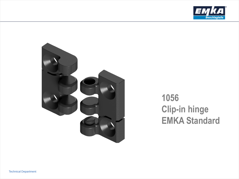



# **1056 Clip-in hinge EMKA Standard**

**Technical Department**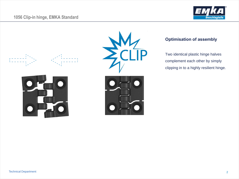## **1056 Clip-in hinge, EMKA Standard**









## **Optimisation of assembly**

Two identical plastic hinge halves complement each other by simply clipping in to a highly resilient hinge.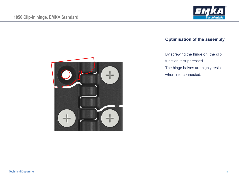



#### **Optimisation of the assembly**

By screwing the hinge on, the clip function is suppressed. The hinge halves are highly resilient

when interconnected.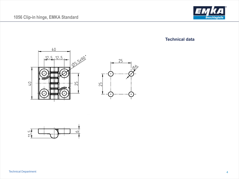## **1056 Clip-in hinge, EMKA Standard**



#### **Technical data**





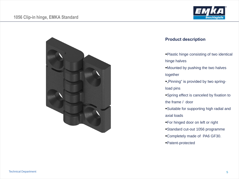



#### **Product description**

- Plastic hinge consisting of two identical hinge halves
- Mounted by pushing the two halves together
- "Pinning" is provided by two springload pins
- Spring effect is canceled by fixation to the frame / door
- Suitable for supporting high radial and axial loads
- For hinged door on left or right
- Standard cut-out 1056 programme
- Completely made of PA6 GF30.
- Patent-protected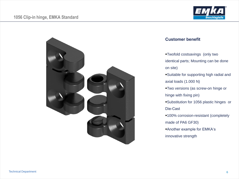



#### **Customer benefit**

- Twofold costsavings (only two identical parts; Mounting can be done on site)
- Suitable for supporting high radial and axial loads (1.000 N)
- Two versions (as screw-on hinge or hinge with fixing pin)
- Substitution for 1056 plastic hinges or Die-Cast
- **-100% corrosion-resistant (completely** made of PA6 GF30)
- Another example for EMKA's innovative strength